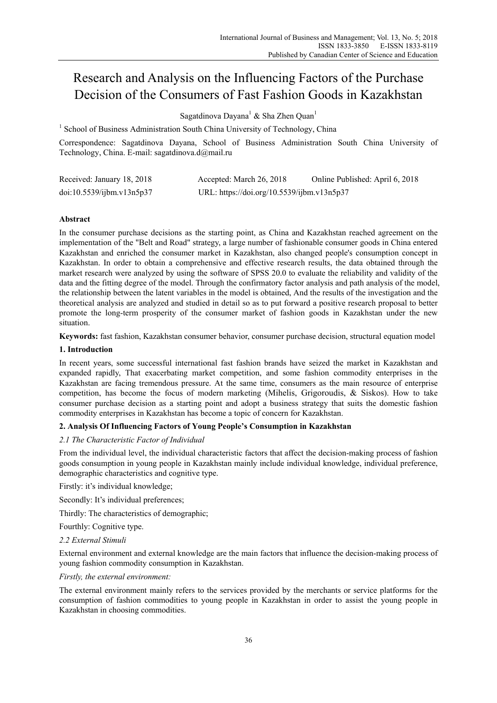# Research and Analysis on the Influencing Factors of the Purchase Decision of the Consumers of Fast Fashion Goods in Kazakhstan

Sagatdinova Dayana<sup>1</sup> & Sha Zhen Quan<sup>1</sup>

<sup>1</sup> School of Business Administration South China University of Technology, China

Correspondence: Sagatdinova Dayana, School of Business Administration South China University of Technology, China. E-mail: sagatdinova.d@mail.ru

| Received: January 18, 2018 | Accepted: March 26, 2018                   | Online Published: April 6, 2018 |
|----------------------------|--------------------------------------------|---------------------------------|
| doi:10.5539/ijbm.v13n5p37  | URL: https://doi.org/10.5539/ijbm.v13n5p37 |                                 |

# **Abstract**

In the consumer purchase decisions as the starting point, as China and Kazakhstan reached agreement on the implementation of the "Belt and Road" strategy, a large number of fashionable consumer goods in China entered Kazakhstan and enriched the consumer market in Kazakhstan, also changed people's consumption concept in Kazakhstan. In order to obtain a comprehensive and effective research results, the data obtained through the market research were analyzed by using the software of SPSS 20.0 to evaluate the reliability and validity of the data and the fitting degree of the model. Through the confirmatory factor analysis and path analysis of the model, the relationship between the latent variables in the model is obtained, And the results of the investigation and the theoretical analysis are analyzed and studied in detail so as to put forward a positive research proposal to better promote the long-term prosperity of the consumer market of fashion goods in Kazakhstan under the new situation.

**Keywords:** fast fashion, Kazakhstan consumer behavior, consumer purchase decision, structural equation model

# **1. Introduction**

In recent years, some successful international fast fashion brands have seized the market in Kazakhstan and expanded rapidly, That exacerbating market competition, and some fashion commodity enterprises in the Kazakhstan are facing tremendous pressure. At the same time, consumers as the main resource of enterprise competition, has become the focus of modern marketing (Mihelis, Grigoroudis, & Siskos). How to take consumer purchase decision as a starting point and adopt a business strategy that suits the domestic fashion commodity enterprises in Kazakhstan has become a topic of concern for Kazakhstan.

# **2. Analysis Of Influencing Factors of Young People's Consumption in Kazakhstan**

# *2.1 The Characteristic Factor of Individual*

From the individual level, the individual characteristic factors that affect the decision-making process of fashion goods consumption in young people in Kazakhstan mainly include individual knowledge, individual preference, demographic characteristics and cognitive type.

Firstly: it's individual knowledge;

Secondly: It's individual preferences;

Thirdly: The characteristics of demographic;

Fourthly: Cognitive type.

# *2.2 External Stimuli*

External environment and external knowledge are the main factors that influence the decision-making process of young fashion commodity consumption in Kazakhstan.

# *Firstly, the external environment:*

The external environment mainly refers to the services provided by the merchants or service platforms for the consumption of fashion commodities to young people in Kazakhstan in order to assist the young people in Kazakhstan in choosing commodities.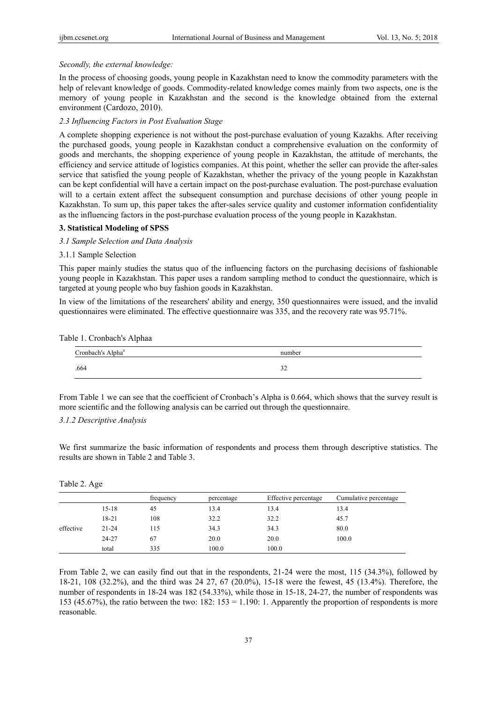#### *Secondly, the external knowledge:*

In the process of choosing goods, young people in Kazakhstan need to know the commodity parameters with the help of relevant knowledge of goods. Commodity-related knowledge comes mainly from two aspects, one is the memory of young people in Kazakhstan and the second is the knowledge obtained from the external environment (Cardozo, 2010).

#### *2.3 Influencing Factors in Post Evaluation Stage*

A complete shopping experience is not without the post-purchase evaluation of young Kazakhs. After receiving the purchased goods, young people in Kazakhstan conduct a comprehensive evaluation on the conformity of goods and merchants, the shopping experience of young people in Kazakhstan, the attitude of merchants, the efficiency and service attitude of logistics companies. At this point, whether the seller can provide the after-sales service that satisfied the young people of Kazakhstan, whether the privacy of the young people in Kazakhstan can be kept confidential will have a certain impact on the post-purchase evaluation. The post-purchase evaluation will to a certain extent affect the subsequent consumption and purchase decisions of other young people in Kazakhstan. To sum up, this paper takes the after-sales service quality and customer information confidentiality as the influencing factors in the post-purchase evaluation process of the young people in Kazakhstan.

#### **3. Statistical Modeling of SPSS**

## *3.1 Sample Selection and Data Analysis*

#### 3.1.1 Sample Selection

This paper mainly studies the status quo of the influencing factors on the purchasing decisions of fashionable young people in Kazakhstan. This paper uses a random sampling method to conduct the questionnaire, which is targeted at young people who buy fashion goods in Kazakhstan.

In view of the limitations of the researchers' ability and energy, 350 questionnaires were issued, and the invalid questionnaires were eliminated. The effective questionnaire was 335, and the recovery rate was 95.71%.

| Table 1. Cronbach's Alphaa |  |  |  |  |  |
|----------------------------|--|--|--|--|--|
|----------------------------|--|--|--|--|--|

| Cronbach's Alpha <sup>a</sup> | number        |
|-------------------------------|---------------|
| .664                          | $\sim$<br>ے د |

From Table 1 we can see that the coefficient of Cronbach's Alpha is 0.664, which shows that the survey result is more scientific and the following analysis can be carried out through the questionnaire.

#### *3.1.2 Descriptive Analysis*

We first summarize the basic information of respondents and process them through descriptive statistics. The results are shown in Table 2 and Table 3.

|           |           | frequency | percentage | Effective percentage | Cumulative percentage |
|-----------|-----------|-----------|------------|----------------------|-----------------------|
|           | $15 - 18$ | 45        | 13.4       | 13.4                 | 13.4                  |
|           | 18-21     | 108       | 32.2       | 32.2                 | 45.7                  |
| effective | $21 - 24$ | 115       | 34.3       | 34.3                 | 80.0                  |
|           | 24-27     | 67        | 20.0       | 20.0                 | 100.0                 |
|           | total     | 335       | 100.0      | 100.0                |                       |

Table 2. Age

From Table 2, we can easily find out that in the respondents, 21-24 were the most, 115 (34.3%), followed by 18-21, 108 (32.2%), and the third was 24 27, 67 (20.0%), 15-18 were the fewest, 45 (13.4%). Therefore, the number of respondents in 18-24 was 182 (54.33%), while those in 15-18, 24-27, the number of respondents was 153 (45.67%), the ratio between the two:  $182: 153 = 1.190: 1$ . Apparently the proportion of respondents is more reasonable.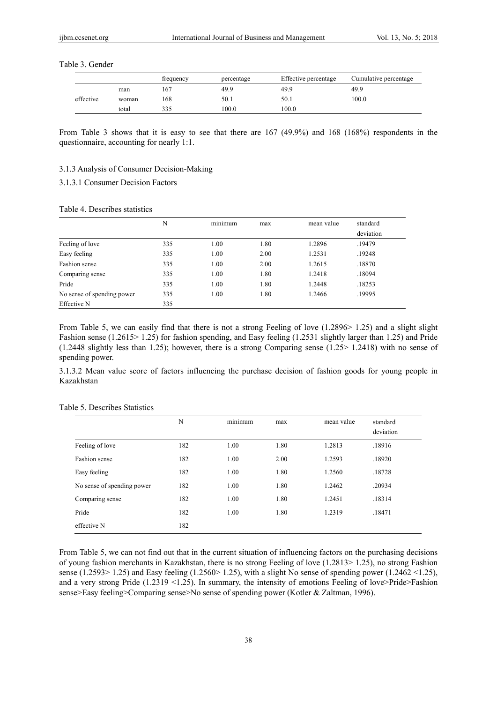Table 3. Gender

|           |       | frequency | percentage | Effective percentage | Cumulative percentage |
|-----------|-------|-----------|------------|----------------------|-----------------------|
|           | man   | 167       | 49.9       | 49.9                 | 49.9                  |
| effective | woman | 168       | 50.1       | 50.1                 | 100.0                 |
|           | total | 335       | 100.0      | 100.0                |                       |

From Table 3 shows that it is easy to see that there are 167 (49.9%) and 168 (168%) respondents in the questionnaire, accounting for nearly 1:1.

## 3.1.3 Analysis of Consumer Decision-Making

3.1.3.1 Consumer Decision Factors

## Table 4. Describes statistics

|                            | N   | $\cdot$ $\cdot$<br>minimum | max  | mean value | standard  |
|----------------------------|-----|----------------------------|------|------------|-----------|
|                            |     |                            |      |            | deviation |
| Feeling of love            | 335 | 1.00                       | 1.80 | 1.2896     | .19479    |
| Easy feeling               | 335 | 1.00                       | 2.00 | 1.2531     | .19248    |
| Fashion sense              | 335 | 1.00                       | 2.00 | 1.2615     | .18870    |
| Comparing sense            | 335 | 1.00                       | 1.80 | 1.2418     | .18094    |
| Pride                      | 335 | 1.00                       | 1.80 | 1.2448     | .18253    |
| No sense of spending power | 335 | 1.00                       | 1.80 | 1.2466     | .19995    |
| Effective N                | 335 |                            |      |            |           |

From Table 5, we can easily find that there is not a strong Feeling of love (1.2896> 1.25) and a slight slight Fashion sense (1.2615> 1.25) for fashion spending, and Easy feeling (1.2531 slightly larger than 1.25) and Pride (1.2448 slightly less than 1.25); however, there is a strong Comparing sense (1.25> 1.2418) with no sense of spending power.

3.1.3.2 Mean value score of factors influencing the purchase decision of fashion goods for young people in Kazakhstan

|                            | N   | minimum | max  | mean value | standard<br>deviation |
|----------------------------|-----|---------|------|------------|-----------------------|
| Feeling of love            | 182 | 1.00    | 1.80 | 1.2813     | .18916                |
| Fashion sense              | 182 | 1.00    | 2.00 | 1.2593     | .18920                |
| Easy feeling               | 182 | 1.00    | 1.80 | 1.2560     | .18728                |
| No sense of spending power | 182 | 1.00    | 1.80 | 1.2462     | .20934                |
| Comparing sense            | 182 | 1.00    | 1.80 | 1.2451     | .18314                |
| Pride                      | 182 | 1.00    | 1.80 | 1.2319     | .18471                |
| effective N                | 182 |         |      |            |                       |

## Table 5. Describes Statistics

From Table 5, we can not find out that in the current situation of influencing factors on the purchasing decisions of young fashion merchants in Kazakhstan, there is no strong Feeling of love (1.2813> 1.25), no strong Fashion sense (1.2593> 1.25) and Easy feeling (1.2560> 1.25), with a slight No sense of spending power (1.2462 <1.25), and a very strong Pride (1.2319 <1.25). In summary, the intensity of emotions Feeling of love>Pride>Fashion sense>Easy feeling>Comparing sense>No sense of spending power (Kotler & Zaltman, 1996).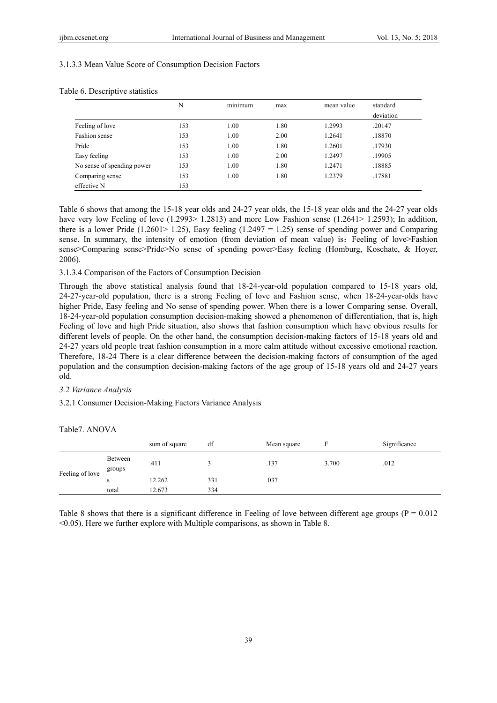## 3.1.3.3 Mean Value Score of Consumption Decision Factors

|                            | N   | $\cdot$ $\cdot$<br>minimum | max  | mean value | standard<br>deviation |
|----------------------------|-----|----------------------------|------|------------|-----------------------|
| Feeling of love            | 153 | 1.00                       | 1.80 | 1.2993     | .20147                |
| Fashion sense              | 153 | 1.00                       | 2.00 | 1.2641     | .18870                |
| Pride                      | 153 | 1.00                       | 1.80 | 1.2601     | .17930                |
| Easy feeling               | 153 | 1.00                       | 2.00 | 1.2497     | .19905                |
| No sense of spending power | 153 | 1.00                       | 1.80 | 1.2471     | .18885                |
| Comparing sense            | 153 | 1.00                       | 1.80 | 1.2379     | .17881                |
| effective N                | 153 |                            |      |            |                       |

## Table 6. Descriptive statistics

Table 6 shows that among the 15-18 year olds and 24-27 year olds, the 15-18 year olds and the 24-27 year olds have very low Feeling of love (1.2993> 1.2813) and more Low Fashion sense (1.2641> 1.2593); In addition, there is a lower Pride (1.2601> 1.25), Easy feeling (1.2497 = 1.25) sense of spending power and Comparing sense. In summary, the intensity of emotion (from deviation of mean value) is: Feeling of love>Fashion sense>Comparing sense>Pride>No sense of spending power>Easy feeling (Homburg, Koschate, & Hoyer, 2006).

## 3.1.3.4 Comparison of the Factors of Consumption Decision

Through the above statistical analysis found that 18-24-year-old population compared to 15-18 years old, 24-27-year-old population, there is a strong Feeling of love and Fashion sense, when 18-24-year-olds have higher Pride, Easy feeling and No sense of spending power. When there is a lower Comparing sense. Overall, 18-24-year-old population consumption decision-making showed a phenomenon of differentiation, that is, high Feeling of love and high Pride situation, also shows that fashion consumption which have obvious results for different levels of people. On the other hand, the consumption decision-making factors of 15-18 years old and 24-27 years old people treat fashion consumption in a more calm attitude without excessive emotional reaction. Therefore, 18-24 There is a clear difference between the decision-making factors of consumption of the aged population and the consumption decision-making factors of the age group of 15-18 years old and 24-27 years old.

## *3.2 Variance Analysis*

3.2.1 Consumer Decision-Making Factors Variance Analysis

|                 |                   | sum of square    | df         | Mean square |       | Significance |
|-----------------|-------------------|------------------|------------|-------------|-------|--------------|
| Feeling of love | Between<br>groups | .411             |            | .137        | 3.700 | .012         |
|                 | s<br>total        | 12.262<br>12.673 | 331<br>334 | .037        |       |              |

### Table7. ANOVA

Table 8 shows that there is a significant difference in Feeling of love between different age groups ( $P = 0.012$ ) <0.05). Here we further explore with Multiple comparisons, as shown in Table 8.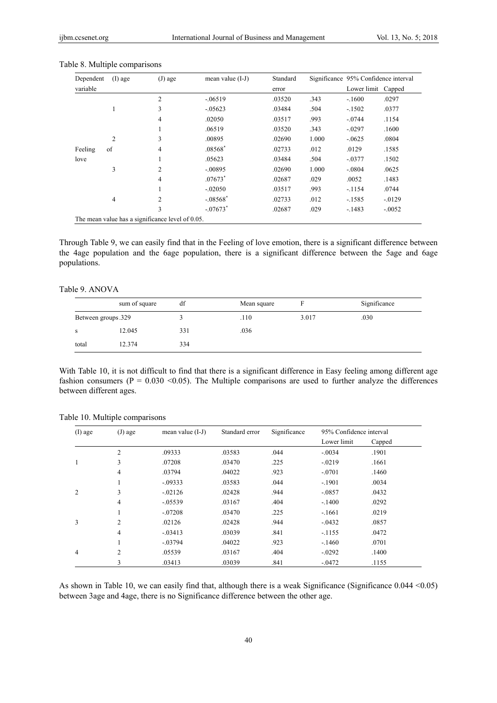| Dependent | $(I)$ age      | $(J)$ age                                        | mean value $(I-J)$     | Standard |       | Significance 95% Confidence interval |           |
|-----------|----------------|--------------------------------------------------|------------------------|----------|-------|--------------------------------------|-----------|
| variable  |                |                                                  |                        | error    |       | Lower limit                          | Capped    |
|           |                | $\overline{2}$                                   | $-.06519$              | .03520   | .343  | $-.1600$                             | .0297     |
|           |                | 3                                                | $-.05623$              | .03484   | .504  | $-1502$                              | .0377     |
|           |                | 4                                                | .02050                 | .03517   | .993  | $-.0744$                             | .1154     |
|           |                | 1                                                | .06519                 | .03520   | .343  | $-.0297$                             | .1600     |
|           | $\overline{2}$ | 3                                                | .00895                 | .02690   | 1.000 | $-.0625$                             | .0804     |
| Feeling   | of             | 4                                                | $.08568*$              | .02733   | .012  | .0129                                | .1585     |
| love      |                | 1                                                | .05623                 | .03484   | .504  | $-.0377$                             | .1502     |
|           | 3              | $\overline{c}$                                   | $-.00895$              | .02690   | 1.000 | $-.0804$                             | .0625     |
|           |                | 4                                                | $.07673*$              | .02687   | .029  | .0052                                | .1483     |
|           |                | 1                                                | $-.02050$              | .03517   | .993  | $-.1154$                             | .0744     |
|           | $\overline{4}$ | $\overline{c}$                                   | $-.08568*$             | .02733   | .012  | $-1585$                              | $-0.0129$ |
|           |                | 3                                                | $-.07673$ <sup>*</sup> | .02687   | .029  | $-.1483$                             | $-.0052$  |
|           |                | The mean value has a significance level of 0.05. |                        |          |       |                                      |           |

## Table 8. Multiple comparisons

Through Table 9, we can easily find that in the Feeling of love emotion, there is a significant difference between the 4age population and the 6age population, there is a significant difference between the 5age and 6age populations.

# Table 9. ANOVA

|                    | sum of square | df  | Mean square |       | Significance |
|--------------------|---------------|-----|-------------|-------|--------------|
| Between groups.329 |               |     | .110        | 3.017 | .030         |
| S                  | 12.045        | 331 | .036        |       |              |
| total              | 12.374        | 334 |             |       |              |

With Table 10, it is not difficult to find that there is a significant difference in Easy feeling among different age fashion consumers ( $P = 0.030 \le 0.05$ ). The Multiple comparisons are used to further analyze the differences between different ages.

| $(I)$ age      | $(J)$ age      | mean value $(I-J)$ |        | Significance | 95% Confidence interval |        |
|----------------|----------------|--------------------|--------|--------------|-------------------------|--------|
|                |                |                    |        |              | Lower limit             | Capped |
|                | $\overline{c}$ | .09333             | .03583 | .044         | $-.0034$                | .1901  |
|                | 3              | .07208             | .03470 | .225         | $-.0219$                | .1661  |
|                | 4              | .03794             | .04022 | .923         | $-.0701$                | .1460  |
|                | 1              | $-.09333$          | .03583 | .044         | $-.1901$                | .0034  |
| $\mathfrak{D}$ | 3              | $-.02126$          | .02428 | .944         | $-.0857$                | .0432  |
|                | 4              | $-.05539$          | .03167 | .404         | $-.1400$                | .0292  |
|                | 1              | $-.07208$          | .03470 | .225         | $-.1661$                | .0219  |
| 3              | 2              | .02126             | .02428 | .944         | $-.0432$                | .0857  |
|                | 4              | $-.03413$          | .03039 | .841         | $-.1155$                | .0472  |
|                | 1              | $-.03794$          | .04022 | .923         | $-.1460$                | .0701  |
| 4              | $\overline{2}$ | .05539             | .03167 | .404         | $-.0292$                | .1400  |
|                | 3              | .03413             | .03039 | .841         | $-.0472$                | .1155  |

Table 10. Multiple comparisons

As shown in Table 10, we can easily find that, although there is a weak Significance (Significance 0.044 <0.05) between 3age and 4age, there is no Significance difference between the other age.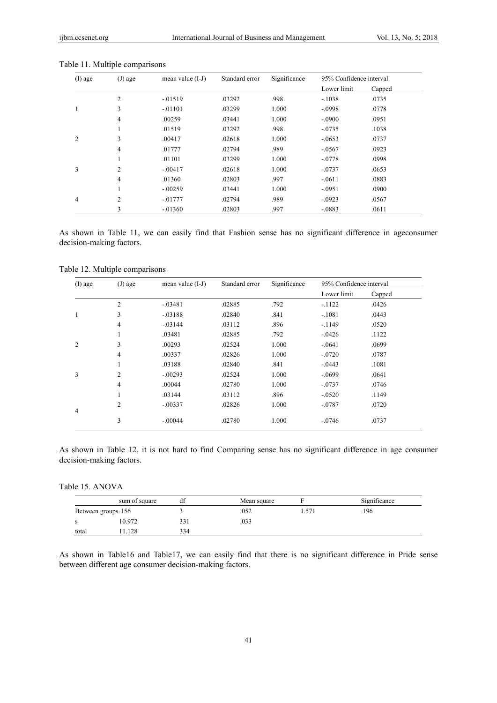| $(I)$ age      | $(J)$ age      | mean value $(I-J)$ | Standard error | Significance | 95% Confidence interval |        |
|----------------|----------------|--------------------|----------------|--------------|-------------------------|--------|
|                |                |                    |                |              | Lower limit             | Capped |
|                | $\overline{2}$ | $-0.01519$         | .03292         | .998         | $-.1038$                | .0735  |
|                | 3              | $-.01101$          | .03299         | 1.000        | $-.0998$                | .0778  |
|                | 4              | .00259             | .03441         | 1.000        | $-.0900$                | .0951  |
|                | -1.            | .01519             | .03292         | .998         | $-.0735$                | .1038  |
| $\overline{c}$ | 3              | .00417             | .02618         | 1.000        | $-.0653$                | .0737  |
|                | $\overline{4}$ | .01777             | .02794         | .989         | $-.0567$                | .0923  |
|                | -1.            | .01101             | .03299         | 1.000        | $-.0778$                | .0998  |
| 3              | $\overline{2}$ | $-.00417$          | .02618         | 1.000        | $-.0737$                | .0653  |
|                | $\overline{4}$ | .01360             | .02803         | .997         | $-.0611$                | .0883  |
|                | 1              | $-.00259$          | .03441         | 1.000        | $-.0951$                | .0900  |
| 4              | $\overline{2}$ | $-0.01777$         | .02794         | .989         | $-.0923$                | .0567  |
|                | 3              | $-.01360$          | .02803         | .997         | $-.0883$                | .0611  |

## Table 11. Multiple comparisons

As shown in Table 11, we can easily find that Fashion sense has no significant difference in ageconsumer decision-making factors.

| $(I)$ age | $(J)$ age      | mean value $(I-J)$ | Standard error | Significance | 95% Confidence interval |        |
|-----------|----------------|--------------------|----------------|--------------|-------------------------|--------|
|           |                |                    |                |              | Lower limit             | Capped |
|           | $\overline{2}$ | $-.03481$          | .02885         | .792         | $-1122$                 | .0426  |
|           | 3              | $-.03188$          | .02840         | .841         | $-.1081$                | .0443  |
|           | $\overline{4}$ | $-.03144$          | .03112         | .896         | $-1149$                 | .0520  |
|           | $\mathbf{1}$   | .03481             | .02885         | .792         | $-.0426$                | .1122  |
| 2         | 3              | .00293             | .02524         | 1.000        | $-.0641$                | .0699  |
|           | 4              | .00337             | .02826         | 1.000        | $-.0720$                | .0787  |
|           | $\mathbf{1}$   | .03188             | .02840         | .841         | $-.0443$                | .1081  |
| 3         | $\overline{2}$ | $-.00293$          | .02524         | 1.000        | $-.0699$                | .0641  |
|           | $\overline{4}$ | .00044             | .02780         | 1.000        | $-.0737$                | .0746  |
|           | $\mathbf{1}$   | .03144             | .03112         | .896         | $-.0520$                | .1149  |
| 4         | $\overline{2}$ | $-.00337$          | .02826         | 1.000        | $-.0787$                | .0720  |
|           | 3              | $-.00044$          | .02780         | 1.000        | $-.0746$                | .0737  |

Table 12. Multiple comparisons

As shown in Table 12, it is not hard to find Comparing sense has no significant difference in age consumer decision-making factors.

Table 15. ANOVA

|                    | sum of square | df  | Mean square |       | Significance |
|--------------------|---------------|-----|-------------|-------|--------------|
| Between groups.156 |               |     | .052        | 1.571 | .196         |
|                    | 10.972        | 331 | .033        |       |              |
| total              | .128          | 334 |             |       |              |

As shown in Table16 and Table17, we can easily find that there is no significant difference in Pride sense between different age consumer decision-making factors.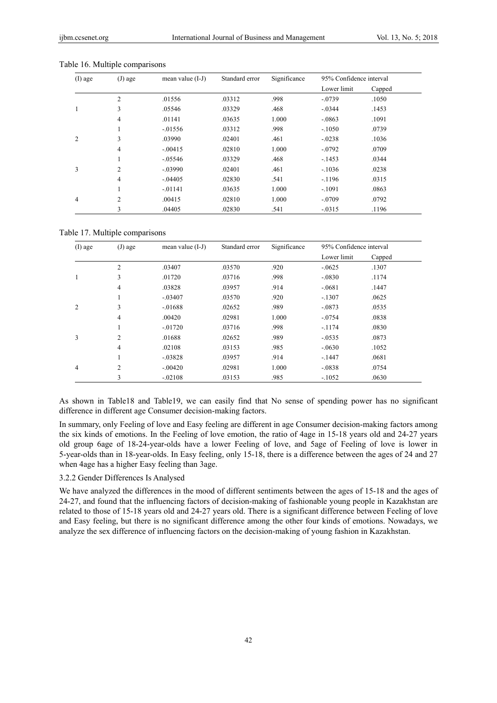| $(I)$ age      | $(J)$ age      | mean value $(I-J)$ | Standard error | Significance | 95% Confidence interval |        |
|----------------|----------------|--------------------|----------------|--------------|-------------------------|--------|
|                |                |                    |                |              | Lower limit             | Capped |
|                | 2              | .01556             | .03312         | .998         | $-.0739$                | .1050  |
|                | 3              | .05546             | .03329         | .468         | $-.0344$                | .1453  |
|                | 4              | .01141             | .03635         | 1.000        | $-.0863$                | .1091  |
|                | л.             | $-.01556$          | .03312         | .998         | $-.1050$                | .0739  |
| $\overline{c}$ | 3              | .03990             | .02401         | .461         | $-.0238$                | .1036  |
|                | 4              | $-.00415$          | .02810         | 1.000        | $-.0792$                | .0709  |
|                | л.             | $-.05546$          | .03329         | .468         | $-.1453$                | .0344  |
| 3              | $\overline{c}$ | $-.03990$          | .02401         | .461         | $-.1036$                | .0238  |
|                | 4              | $-.04405$          | .02830         | .541         | $-1196$                 | .0315  |
|                | л.             | $-.01141$          | .03635         | 1.000        | $-.1091$                | .0863  |
| 4              | $\overline{c}$ | .00415             | .02810         | 1.000        | $-.0709$                | .0792  |
|                | 3              | .04405             | .02830         | .541         | $-.0315$                | .1196  |

Table 16. Multiple comparisons

Table 17. Multiple comparisons

| $(I)$ age      | $(J)$ age      | mean value (I-J) | Standard error | Significance | 95% Confidence interval |        |
|----------------|----------------|------------------|----------------|--------------|-------------------------|--------|
|                |                |                  |                |              | Lower limit             | Capped |
|                | $\overline{2}$ | .03407           | .03570         | .920         | $-.0625$                | .1307  |
|                | 3              | .01720           | .03716         | .998         | $-.0830$                | .1174  |
|                | $\overline{4}$ | .03828           | .03957         | .914         | $-.0681$                | .1447  |
|                | $\perp$        | $-.03407$        | .03570         | .920         | $-.1307$                | .0625  |
| $\overline{c}$ | 3              | $-.01688$        | .02652         | .989         | $-.0873$                | .0535  |
|                | $\overline{4}$ | .00420           | .02981         | 1.000        | $-.0754$                | .0838  |
|                | л.             | $-.01720$        | .03716         | .998         | $-1174$                 | .0830  |
| 3              | $\overline{2}$ | .01688           | .02652         | .989         | $-.0535$                | .0873  |
|                | $\overline{4}$ | .02108           | .03153         | .985         | $-.0630$                | .1052  |
|                | л.             | $-.03828$        | .03957         | .914         | $-.1447$                | .0681  |
| 4              | $\overline{2}$ | $-.00420$        | .02981         | 1.000        | $-.0838$                | .0754  |
|                | 3              | $-02108$         | .03153         | .985         | $-.1052$                | .0630  |

As shown in Table18 and Table19, we can easily find that No sense of spending power has no significant difference in different age Consumer decision-making factors.

In summary, only Feeling of love and Easy feeling are different in age Consumer decision-making factors among the six kinds of emotions. In the Feeling of love emotion, the ratio of 4age in 15-18 years old and 24-27 years old group 6age of 18-24-year-olds have a lower Feeling of love, and 5age of Feeling of love is lower in 5-year-olds than in 18-year-olds. In Easy feeling, only 15-18, there is a difference between the ages of 24 and 27 when 4age has a higher Easy feeling than 3age.

#### 3.2.2 Gender Differences Is Analysed

We have analyzed the differences in the mood of different sentiments between the ages of 15-18 and the ages of 24-27, and found that the influencing factors of decision-making of fashionable young people in Kazakhstan are related to those of 15-18 years old and 24-27 years old. There is a significant difference between Feeling of love and Easy feeling, but there is no significant difference among the other four kinds of emotions. Nowadays, we analyze the sex difference of influencing factors on the decision-making of young fashion in Kazakhstan.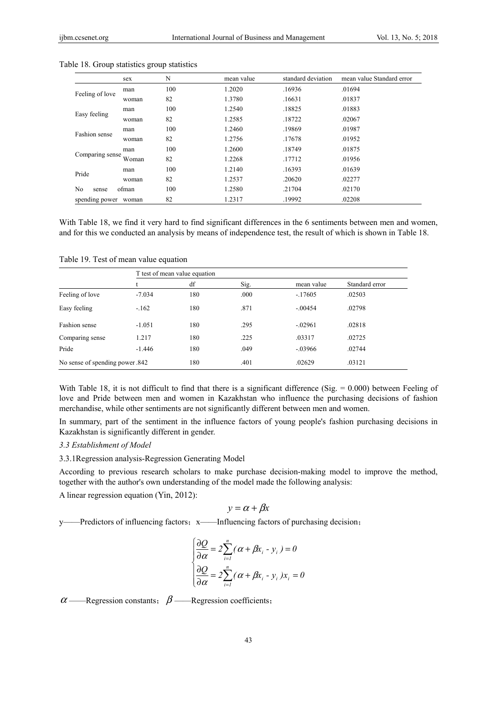|                      | sex   | N   | mean value | standard deviation | mean value Standard error                      |
|----------------------|-------|-----|------------|--------------------|------------------------------------------------|
|                      | man   | 100 | 1.2020     | .16936             | .01694                                         |
| Feeling of love      | woman | 82  | 1.3780     | .16631             | .01837                                         |
|                      | man   | 100 | 1.2540     | .18825             | .01883                                         |
| Easy feeling         | woman | 82  | 1.2585     | .18722             | .02067                                         |
|                      | man   | 100 | 1.2460     | .19869             | .01987                                         |
| Fashion sense        | woman | 82  | 1.2756     | .17678             | .01952                                         |
|                      | man   | 100 | 1.2600     | .18749             | .01875                                         |
| Comparing sense      | Woman | 82  | 1.2268     | .17712             | .01956<br>.01639<br>.02277<br>.02170<br>.02208 |
|                      | man   | 100 | 1.2140     | .16393             |                                                |
| Pride                | woman | 82  | 1.2537     | .20620             |                                                |
| No<br>sense          | ofman | 100 | 1.2580     | .21704             |                                                |
| spending power woman |       | 82  | 1.2317     | .19992             |                                                |

Table 18. Group statistics group statistics

With Table 18, we find it very hard to find significant differences in the 6 sentiments between men and women, and for this we conducted an analysis by means of independence test, the result of which is shown in Table 18.

|                                | T test of mean value equation |     |      |            |                |  |
|--------------------------------|-------------------------------|-----|------|------------|----------------|--|
|                                |                               | df  | Sig. | mean value | Standard error |  |
| Feeling of love                | $-7.034$                      | 180 | .000 | $-.17605$  | .02503         |  |
| Easy feeling                   | $-162$                        | 180 | .871 | $-.00454$  | .02798         |  |
| Fashion sense                  | $-1.051$                      | 180 | .295 | $-.02961$  | .02818         |  |
| Comparing sense                | 1.217                         | 180 | .225 | .03317     | .02725         |  |
| Pride                          | $-1.446$                      | 180 | .049 | $-.03966$  | .02744         |  |
| No sense of spending power.842 |                               | 180 | .401 | .02629     | .03121         |  |

Table 19. Test of mean value equation

With Table 18, it is not difficult to find that there is a significant difference (Sig.  $= 0.000$ ) between Feeling of love and Pride between men and women in Kazakhstan who influence the purchasing decisions of fashion merchandise, while other sentiments are not significantly different between men and women.

In summary, part of the sentiment in the influence factors of young people's fashion purchasing decisions in Kazakhstan is significantly different in gender.

## *3.3 Establishment of Model*

3.3.1Regression analysis-Regression Generating Model

According to previous research scholars to make purchase decision-making model to improve the method, together with the author's own understanding of the model made the following analysis:

A linear regression equation (Yin, 2012):

$$
y = \alpha + \beta x
$$

y——Predictors of influencing factors; x——Influencing factors of purchasing decision;

$$
\begin{cases}\n\frac{\partial Q}{\partial \alpha} = 2 \sum_{i=1}^{n} (\alpha + \beta x_i - y_i) = 0 \\
\frac{\partial Q}{\partial \alpha} = 2 \sum_{i=1}^{n} (\alpha + \beta x_i - y_i) x_i = 0\n\end{cases}
$$

 $\alpha$  ——Regression constants;  $\beta$  ——Regression coefficients;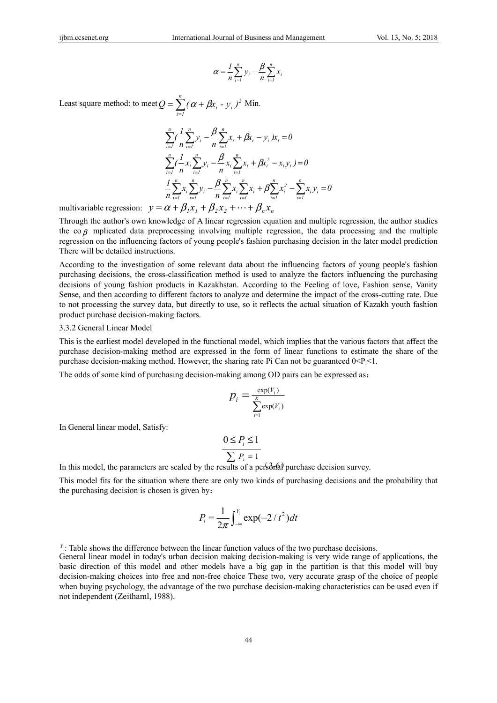$$
\alpha = \frac{1}{n} \sum_{i=1}^{n} y_i - \frac{\beta}{n} \sum_{i=1}^{n} x_i
$$

Least square method: to meet  $Q = \sum_{i=1}^{n} (\alpha + \beta x_i - y_i)^2$  Min.  $=\sum_{n=0}^{n}(\alpha +$ *i 1*  $Q = \sum_{i} (\alpha + \beta x_i - y_i)^2$ 

$$
\sum_{i=1}^{n} \left( \frac{1}{n} \sum_{i=1}^{n} y_i - \frac{\beta}{n} \sum_{i=1}^{n} x_i + \beta x_i - y_i \right) x_i = 0
$$
\n
$$
\sum_{i=1}^{n} \left( -x_i \sum_{i=1}^{n} y_i - \frac{\beta}{n} x_i \sum_{i=1}^{n} x_i + \beta x_i^2 - x_i y_i \right) = 0
$$
\n
$$
\frac{1}{n} \sum_{i=1}^{n} x_i \sum_{i=1}^{n} y_i - \frac{\beta}{n} \sum_{i=1}^{n} x_i \sum_{i=1}^{n} x_i + \beta \sum_{i=1}^{n} x_i^2 - \sum_{i=1}^{n} x_i y_i = 0
$$

multivariable regression:  $y = \alpha + \beta_1 x_1 + \beta_2 x_2 + \cdots + \beta_n x_n$ 

Through the author's own knowledge of A linear regression equation and multiple regression, the author studies the co  $\beta$  mplicated data preprocessing involving multiple regression, the data processing and the multiple regression on the influencing factors of young people's fashion purchasing decision in the later model prediction There will be detailed instructions.

According to the investigation of some relevant data about the influencing factors of young people's fashion purchasing decisions, the cross-classification method is used to analyze the factors influencing the purchasing decisions of young fashion products in Kazakhstan. According to the Feeling of love, Fashion sense, Vanity Sense, and then according to different factors to analyze and determine the impact of the cross-cutting rate. Due to not processing the survey data, but directly to use, so it reflects the actual situation of Kazakh youth fashion product purchase decision-making factors.

#### 3.3.2 General Linear Model

This is the earliest model developed in the functional model, which implies that the various factors that affect the purchase decision-making method are expressed in the form of linear functions to estimate the share of the purchase decision-making method. However, the sharing rate Pi Can not be guaranteed  $0 < P<sub>i</sub> < 1$ .

The odds of some kind of purchasing decision-making among OD pairs can be expressed as:

$$
p_i = \frac{\exp(V_i)}{\sum_{i=1}^{K} \exp(V_i)}
$$

In General linear model, Satisfy:

$$
\frac{0 \le P_i \le 1}{\sum P_i = 1}
$$

In this model, the parameters are scaled by the results of a personal purchase decision survey.

This model fits for the situation where there are only two kinds of purchasing decisions and the probability that the purchasing decision is chosen is given by:

$$
P_i = \frac{1}{2\pi} \int_{-\infty}^{Y_i} \exp(-2/t^2) dt
$$

 $Y_i$ : Table shows the difference between the linear function values of the two purchase decisions.

General linear model in today's urban decision making decision-making is very wide range of applications, the basic direction of this model and other models have a big gap in the partition is that this model will buy decision-making choices into free and non-free choice These two, very accurate grasp of the choice of people when buying psychology, the advantage of the two purchase decision-making characteristics can be used even if not independent (Zeithaml, 1988).